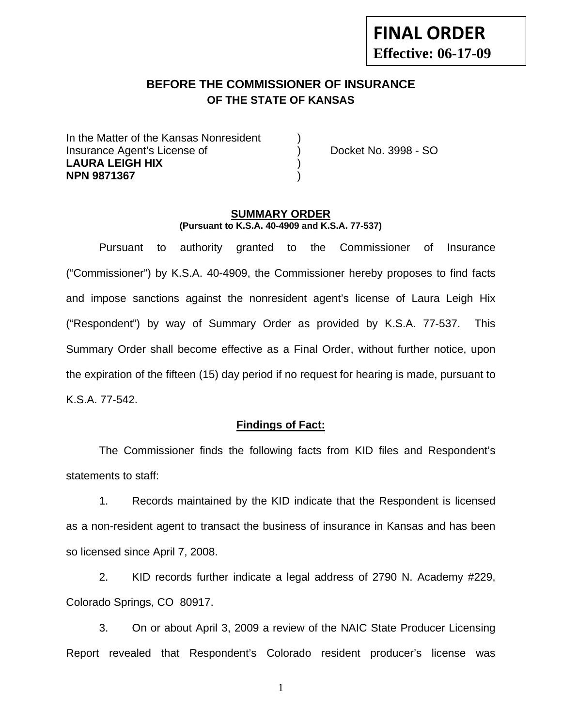## **BEFORE THE COMMISSIONER OF INSURANCE OF THE STATE OF KANSAS**

In the Matter of the Kansas Nonresident Insurance Agent's License of ) Docket No. 3998 - SO **LAURA LEIGH HIX** ) **NPN 9871367** )

#### **SUMMARY ORDER (Pursuant to K.S.A. 40-4909 and K.S.A. 77-537)**

 Pursuant to authority granted to the Commissioner of Insurance ("Commissioner") by K.S.A. 40-4909, the Commissioner hereby proposes to find facts and impose sanctions against the nonresident agent's license of Laura Leigh Hix ("Respondent") by way of Summary Order as provided by K.S.A. 77-537. This Summary Order shall become effective as a Final Order, without further notice, upon the expiration of the fifteen (15) day period if no request for hearing is made, pursuant to K.S.A. 77-542.

#### **Findings of Fact:**

 The Commissioner finds the following facts from KID files and Respondent's statements to staff:

 1. Records maintained by the KID indicate that the Respondent is licensed as a non-resident agent to transact the business of insurance in Kansas and has been so licensed since April 7, 2008.

 2. KID records further indicate a legal address of 2790 N. Academy #229, Colorado Springs, CO 80917.

 3. On or about April 3, 2009 a review of the NAIC State Producer Licensing Report revealed that Respondent's Colorado resident producer's license was

1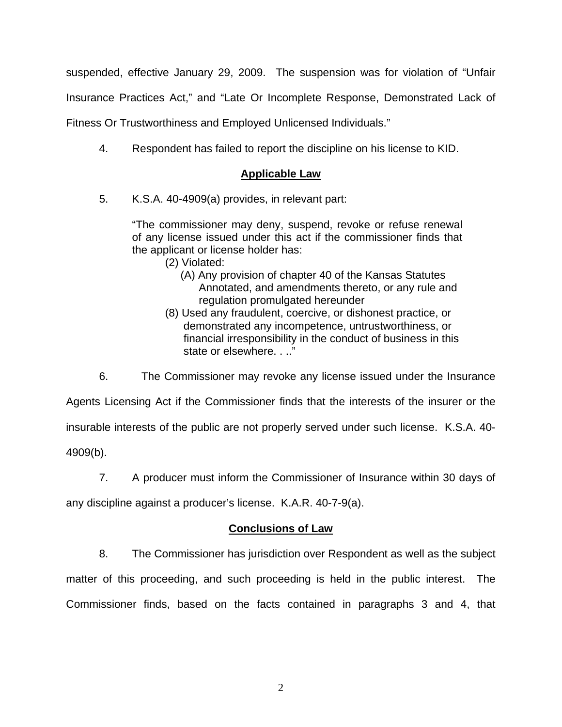suspended, effective January 29, 2009. The suspension was for violation of "Unfair

Insurance Practices Act," and "Late Or Incomplete Response, Demonstrated Lack of

Fitness Or Trustworthiness and Employed Unlicensed Individuals."

4. Respondent has failed to report the discipline on his license to KID.

### **Applicable Law**

5. K.S.A. 40-4909(a) provides, in relevant part:

"The commissioner may deny, suspend, revoke or refuse renewal of any license issued under this act if the commissioner finds that the applicant or license holder has:

- (2) Violated:
	- (A) Any provision of chapter 40 of the Kansas Statutes Annotated, and amendments thereto, or any rule and regulation promulgated hereunder
- (8) Used any fraudulent, coercive, or dishonest practice, or demonstrated any incompetence, untrustworthiness, or financial irresponsibility in the conduct of business in this state or elsewhere. . .."

 6. The Commissioner may revoke any license issued under the Insurance Agents Licensing Act if the Commissioner finds that the interests of the insurer or the insurable interests of the public are not properly served under such license. K.S.A. 40- 4909(b).

7. A producer must inform the Commissioner of Insurance within 30 days of

any discipline against a producer's license. K.A.R. 40-7-9(a).

#### **Conclusions of Law**

 8. The Commissioner has jurisdiction over Respondent as well as the subject matter of this proceeding, and such proceeding is held in the public interest. The Commissioner finds, based on the facts contained in paragraphs 3 and 4, that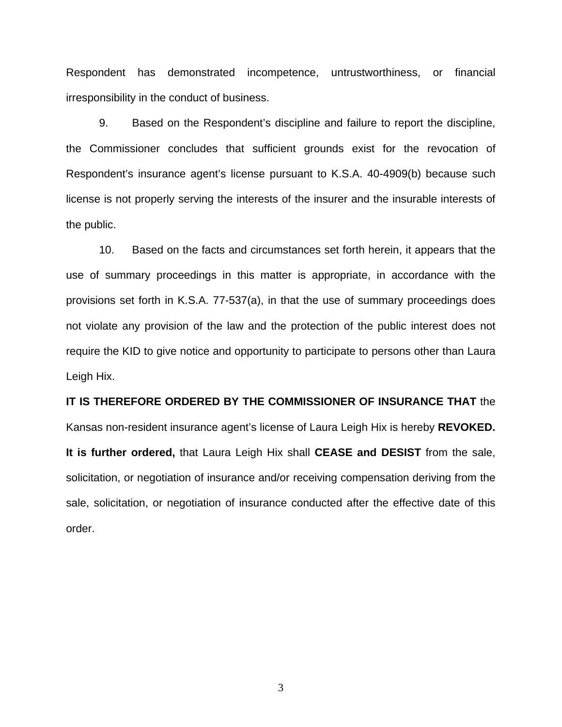Respondent has demonstrated incompetence, untrustworthiness, or financial irresponsibility in the conduct of business.

 9. Based on the Respondent's discipline and failure to report the discipline, the Commissioner concludes that sufficient grounds exist for the revocation of Respondent's insurance agent's license pursuant to K.S.A. 40-4909(b) because such license is not properly serving the interests of the insurer and the insurable interests of the public.

 10. Based on the facts and circumstances set forth herein, it appears that the use of summary proceedings in this matter is appropriate, in accordance with the provisions set forth in K.S.A. 77-537(a), in that the use of summary proceedings does not violate any provision of the law and the protection of the public interest does not require the KID to give notice and opportunity to participate to persons other than Laura Leigh Hix.

# **IT IS THEREFORE ORDERED BY THE COMMISSIONER OF INSURANCE THAT** the Kansas non-resident insurance agent's license of Laura Leigh Hix is hereby **REVOKED. It is further ordered,** that Laura Leigh Hix shall **CEASE and DESIST** from the sale, solicitation, or negotiation of insurance and/or receiving compensation deriving from the sale, solicitation, or negotiation of insurance conducted after the effective date of this order.

3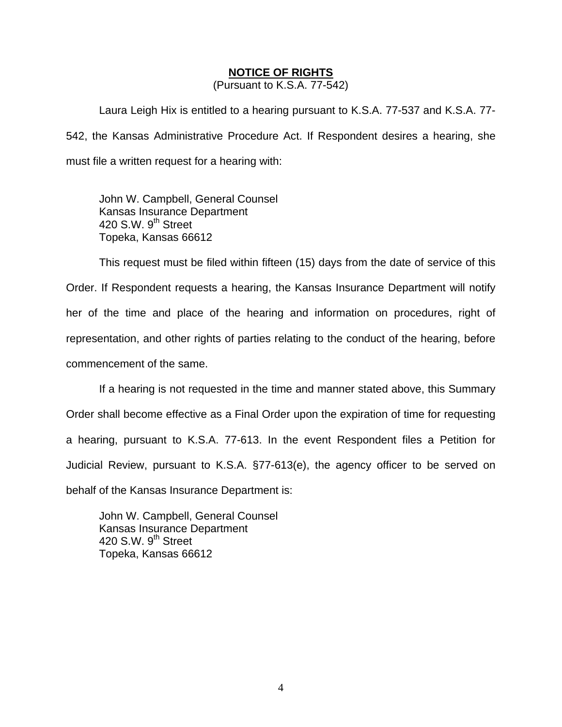#### **NOTICE OF RIGHTS**

(Pursuant to K.S.A. 77-542)

Laura Leigh Hix is entitled to a hearing pursuant to K.S.A. 77-537 and K.S.A. 77- 542, the Kansas Administrative Procedure Act. If Respondent desires a hearing, she must file a written request for a hearing with:

 John W. Campbell, General Counsel Kansas Insurance Department 420 S.W. 9<sup>th</sup> Street Topeka, Kansas 66612

This request must be filed within fifteen (15) days from the date of service of this Order. If Respondent requests a hearing, the Kansas Insurance Department will notify her of the time and place of the hearing and information on procedures, right of representation, and other rights of parties relating to the conduct of the hearing, before commencement of the same.

If a hearing is not requested in the time and manner stated above, this Summary Order shall become effective as a Final Order upon the expiration of time for requesting a hearing, pursuant to K.S.A. 77-613. In the event Respondent files a Petition for Judicial Review, pursuant to K.S.A. §77-613(e), the agency officer to be served on behalf of the Kansas Insurance Department is:

 John W. Campbell, General Counsel Kansas Insurance Department 420 S.W.  $9<sup>th</sup>$  Street Topeka, Kansas 66612